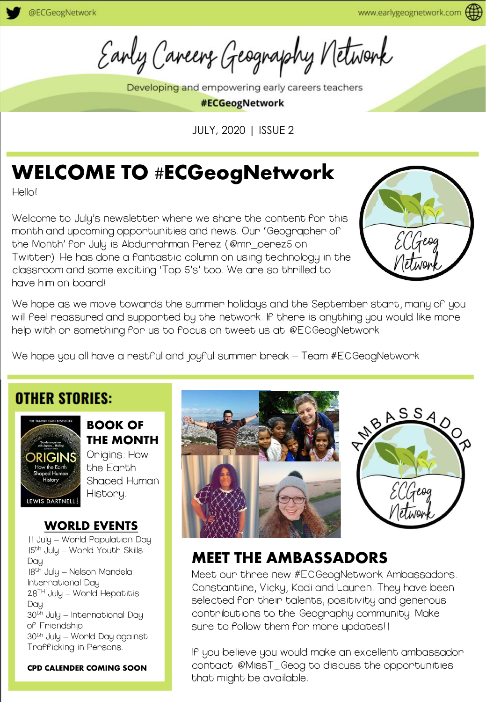Early Careers Geography Network

Developing and empowering early careers teachers

#ECGeogNetwork

JULY, 2020 | ISSUE 2

# WELCOME TO #ECGeogNetwork

Hello!

Welcome to July's newsletter where we share the content for this month and upcoming opportunities and news. Our 'Geographer of the Month' for July is Abdurrahman Perez (@mr\_perez5 on Twitter). He has done a fantastic column on using technology in the classroom and some exciting 'Top 5's' too. We are so thrilled to have him on board!



We hope as we move towards the summer holidays and the September start, many of you will feel reassured and supported by the network. If there is anything you would like more help with or something for us to focus on tweet us at @ECGeogNetwork.

We hope you all have a restful and joyful summer break - Team #ECGeogNetwork

#### **OTHER STORIES:**



BOOK OF THE MONTH Origins: How

the Earth Shaped Human History.

#### WORLD EVENTS

11 July – World Population Day 15th July – World Youth Skills Day 18th July – Nelson Mandela International Day 28TH July – World Hepatitis Day 30th July – International Day of Friendship 30th July – World Day against Trafficking in Persons.

CPD CALENDER COMING SOON





### MEET THE AMBASSADORS

Meet our three new #ECGeogNetwork Ambassadors: Constantine, Vicky, Kodi and Lauren. They have been selected for their talents, positivity and generous contributions to the Geography community. Make sure to follow them for more updates!

If you believe you would make an excellent ambassador contact @MissT\_Geog to discuss the opportunities that might be available.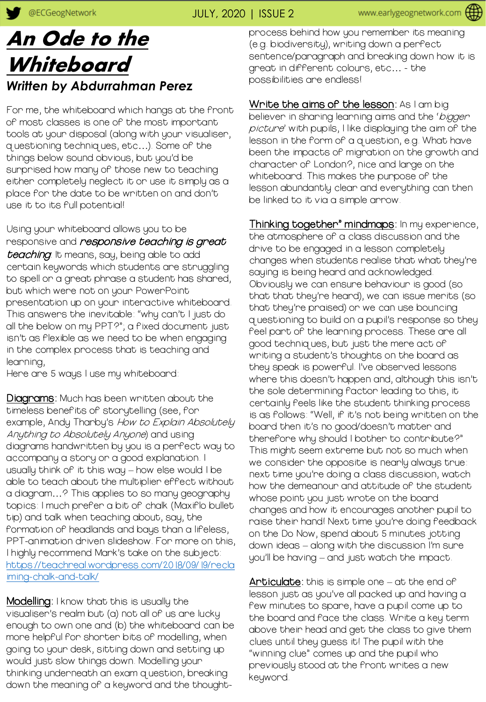## An Ode to the **Whiteboard** *Written by Abdurrahman Perez*

For me, the whiteboard which hangs at the front of most classes is one of the most important tools at your disposal (along with your visualiser, questioning techniques, etc…). Some of the things below sound obvious, but you'd be surprised how many of those new to teaching either completely neglect it or use it simply as a place for the date to be written on and don't use it to its full potential!

Using your whiteboard allows you to be responsive and *responsive teaching is great* teaching. It means, say, being able to add certain keywords which students are struggling to spell or a great phrase a student has shared, but which were not on your PowerPoint presentation up on your interactive whiteboard. This answers the inevitable: "why can't I just do all the below on my PPT?"; a fixed document just isn't as flexible as we need to be when engaging in the complex process that is teaching and learning,

Here are 5 ways I use my whiteboard:

Diagrams: Much has been written about the timeless benefits of storytelling (see, for example, Andy Tharby's *How to Explain Absolutely* Anything to Absolutely Anyone) and using diagrams handwritten by you is a perfect way to accompany a story or a good explanation. I usually think of it this way – how else would I be able to teach about the multiplier effect without a diagram…? This applies to so many geography topics: I much prefer a bit of chalk (Maxiflo bullet tip) and talk when teaching about, say, the formation of headlands and bays than a lifeless, PPT-animation driven slideshow. For more on this, I highly recommend Mark's take on the subject: [https://teachreal.wordpress.com/2018/09/19/recla](https://teachreal.wordpress.com/2018/09/19/reclaiming-chalk-and-talk/) iming-chalk-and-talk/

**Modelling**: I know that this is usually the visualiser's realm but (a) not all of us are lucky enough to own one and (b) the whiteboard can be more helpful for shorter bits of modelling, when going to your desk, sitting down and setting up would just slow things down. Modelling your thinking underneath an exam question, breaking down the meaning of a keyword and the thoughtprocess behind how you remember its meaning (e.g. biodiversity), writing down a perfect sentence/paragraph and breaking down how it is great in different colours, etc… - the possibilities are endless!

Write the aims of the lesson: As I am big believen in shaning leanning aims and the 'biggen picture' with pupils, I like displaying the aim of the lesson in the form of a question, e.g. What have been the impacts of migration on the growth and character of London?, nice and large on the whiteboard. This makes the purpose of the lesson abundantly clear and everything can then be linked to it via a simple arrow.

Thinking together" mindmaps: In my experience, the atmosphere of a class discussion and the drive to be engaged in a lesson completely changes when students realise that what they're saying is being heard and acknowledged. Obviously we can ensure behaviour is good (so that that they're heard), we can issue merits (so that they're praised) or we can use bouncing questioning to build on a pupil's response so they feel part of the learning process. These are all good techniques, but just the mere act of writing a student's thoughts on the board as they speak is powerful. I've observed lessons where this doesn't happen and, although this isn't the sole determining factor leading to this, it certainly feels like the student thinking process is as follows: "Well, if it's not being written on the board then it's no good/doesn't matter and therefore why should I bother to contribute?" This might seem extreme but not so much when we consider the opposite is nearly always true: next time you're doing a class discussion, watch how the demeanour and attitude of the student whose point you just wrote on the board changes and how it encourages another pupil to raise their hand! Next time you're doing feedback on the Do Now, spend about 5 minutes jotting down ideas – along with the discussion I'm sure you'll be having – and just watch the impact.

 $\textsf{Article:}$  this is simple one — at the end of lesson just as you've all packed up and having a few minutes to spare, have a pupil come up to the board and face the class. Write a key term above their head and get the class to give them clues until they guess it! The pupil with the "winning clue" comes up and the pupil who previously stood at the front writes a new keyword.